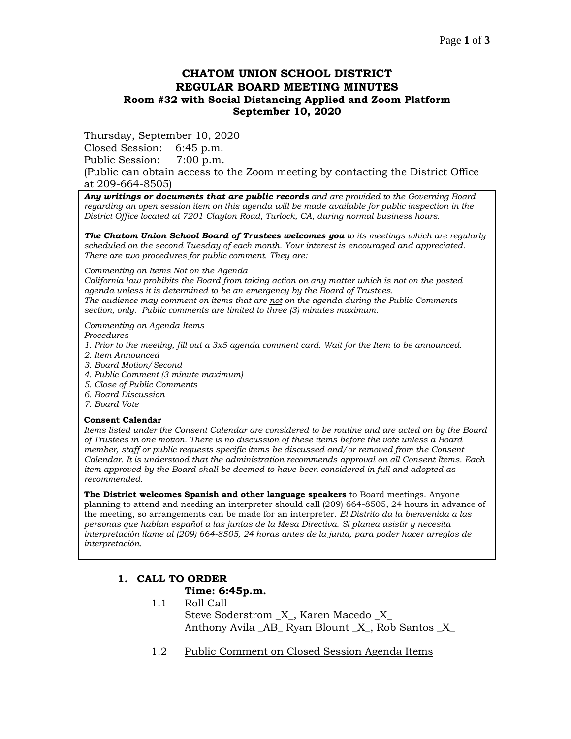## **CHATOM UNION SCHOOL DISTRICT REGULAR BOARD MEETING MINUTES Room #32 with Social Distancing Applied and Zoom Platform September 10, 2020**

Thursday, September 10, 2020

Closed Session: 6:45 p.m.

Public Session: 7:00 p.m.

(Public can obtain access to the Zoom meeting by contacting the District Office at 209-664-8505)

*Any writings or documents that are public records and are provided to the Governing Board regarding an open session item on this agenda will be made available for public inspection in the District Office located at 7201 Clayton Road, Turlock, CA, during normal business hours.*

*The Chatom Union School Board of Trustees welcomes you to its meetings which are regularly scheduled on the second Tuesday of each month. Your interest is encouraged and appreciated. There are two procedures for public comment. They are:*

#### *Commenting on Items Not on the Agenda*

*California law prohibits the Board from taking action on any matter which is not on the posted agenda unless it is determined to be an emergency by the Board of Trustees. The audience may comment on items that are not on the agenda during the Public Comments section, only. Public comments are limited to three (3) minutes maximum.*

#### *Commenting on Agenda Items*

*Procedures* 

- *1. Prior to the meeting, fill out a 3x5 agenda comment card. Wait for the Item to be announced.*
- *2. Item Announced*
- *3. Board Motion/Second*
- *4. Public Comment (3 minute maximum)*
- *5. Close of Public Comments*
- *6. Board Discussion*
- *7. Board Vote*

### **Consent Calendar**

*Items listed under the Consent Calendar are considered to be routine and are acted on by the Board of Trustees in one motion. There is no discussion of these items before the vote unless a Board member, staff or public requests specific items be discussed and/or removed from the Consent Calendar. It is understood that the administration recommends approval on all Consent Items. Each item approved by the Board shall be deemed to have been considered in full and adopted as recommended.*

**The District welcomes Spanish and other language speakers** to Board meetings. Anyone planning to attend and needing an interpreter should call (209) 664-8505, 24 hours in advance of the meeting, so arrangements can be made for an interpreter. *El Distrito da la bienvenida a las personas que hablan español a las juntas de la Mesa Directiva. Si planea asistir y necesita interpretación llame al (209) 664-8505, 24 horas antes de la junta, para poder hacer arreglos de interpretación.*

# **1. CALL TO ORDER**

### **Time: 6:45p.m.**

- 1.1 Roll Call Steve Soderstrom \_X\_, Karen Macedo \_X\_ Anthony Avila AB Ryan Blount X, Rob Santos X
- 1.2 Public Comment on Closed Session Agenda Items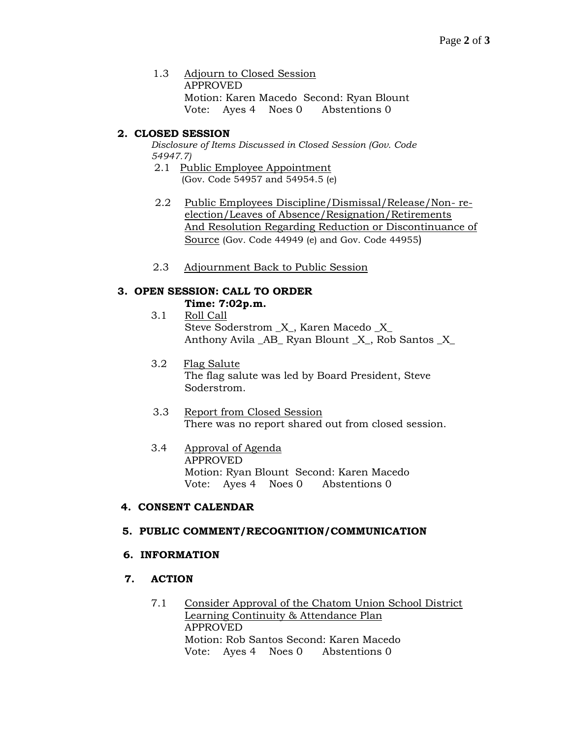1.3 Adjourn to Closed Session APPROVED Motion: Karen Macedo Second: Ryan Blount Vote: Ayes 4 Noes 0 Abstentions 0

## **2. CLOSED SESSION**

*Disclosure of Items Discussed in Closed Session (Gov. Code 54947.7)*

- 2.1 Public Employee Appointment (Gov. Code 54957 and 54954.5 (e)
- 2.2 Public Employees Discipline/Dismissal/Release/Non- reelection/Leaves of Absence/Resignation/Retirements And Resolution Regarding Reduction or Discontinuance of Source (Gov. Code 44949 (e) and Gov. Code 44955)
- 2.3 Adjournment Back to Public Session

## **3. OPEN SESSION: CALL TO ORDER**

- **Time: 7:02p.m.**
- 3.1 Roll Call Steve Soderstrom \_X\_, Karen Macedo \_X\_ Anthony Avila AB Ryan Blount X, Rob Santos X
- 3.2 Flag Salute The flag salute was led by Board President, Steve Soderstrom.
- 3.3 Report from Closed Session There was no report shared out from closed session.
- 3.4 Approval of Agenda APPROVED Motion: Ryan Blount Second: Karen Macedo Vote: Ayes 4 Noes 0 Abstentions 0

## **4. CONSENT CALENDAR**

## **5. PUBLIC COMMENT/RECOGNITION/COMMUNICATION**

### **6. INFORMATION**

### **7. ACTION**

7.1 Consider Approval of the Chatom Union School District Learning Continuity & Attendance Plan APPROVED Motion: Rob Santos Second: Karen Macedo Vote: Ayes 4 Noes 0 Abstentions 0